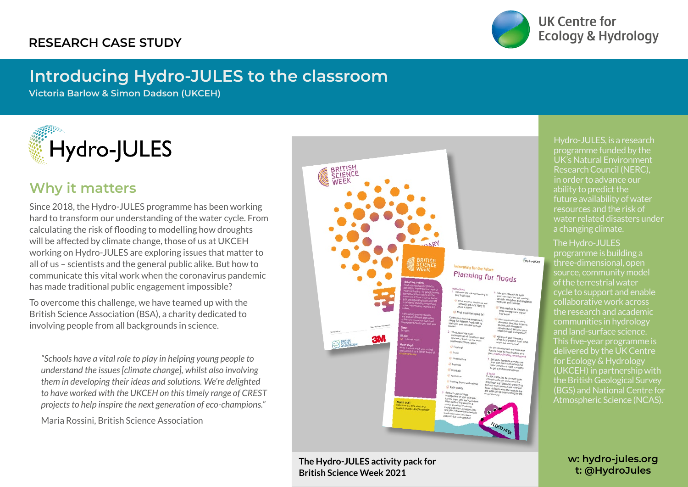

**UK Centre for Ecology & Hydrology** 

## **Introducing Hydro-JULES to the classroom**

**Victoria Barlow & Simon Dadson (UKCEH)**



## **Why it matters**

Since 2018, the Hydro-JULES programme has been working hard to transform our understanding of the water cycle. From calculating the risk of flooding to modelling how droughts will be affected by climate change, those of us at UKCEH working on Hydro-JULES are exploring issues that matter to all of us – scientists and the general public alike. But how to communicate this vital work when the coronavirus pandemic has made traditional public engagement impossible?

To overcome this challenge, we have teamed up with the British Science Association (BSA), a charity dedicated to involving people from all backgrounds in science.

*"Schools have a vital role to play in helping young people to understand the issues [climate change], whilst also involving them in developing their ideas and solutions. We're delighted to have worked with the UKCEH on this timely range of CREST projects to help inspire the next generation of eco-champions."*

Maria Rossini, British Science Association

rating for the future Planning for floods

**The Hydro-JULES activity pack for British Science Week 2021**

Hydro-JULES, is a research programme funded by the UK's Natural Environment Research Council (NERC), in order to advance our ability to predict the future availability of water resources and the risk of water related disasters under a changing climate.

## The Hydro-JULES

Hydro-JULES

programme is building a three-dimensional, open source, community model of the terrestrial water cycle to support and enable collaborative work across the research and academic communities in hydrology and land-surface science. This five-year programme is delivered by the UK Centre for Ecology & Hydrology (UKCEH) in partnership with the British Geological Survey (BGS) and National Centre for Atmospheric Science (NCAS).

> **w: hydro-jules.org t: @HydroJules**